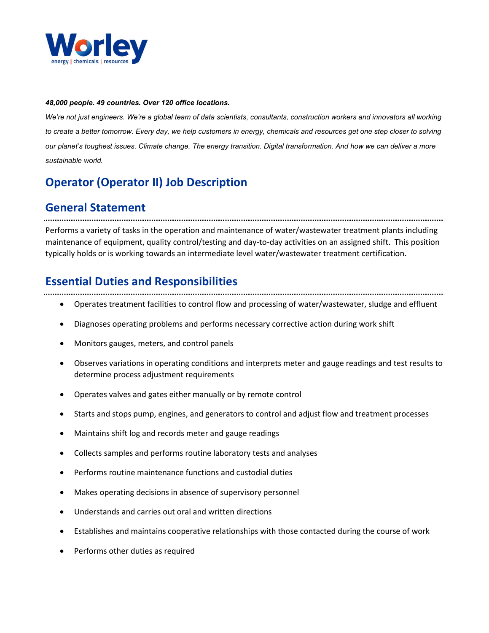

#### 48,000 people. 49 countries. Over 120 office locations.

We're not just engineers. We're a global team of data scientists, consultants, construction workers and innovators all working to create a better tomorrow. Every day, we help customers in energy, chemicals and resources get one step closer to solving our planet's toughest issues. Climate change. The energy transition. Digital transformation. And how we can deliver a more sustainable world.

# Operator (Operator II) Job Description

## General Statement

Performs a variety of tasks in the operation and maintenance of water/wastewater treatment plants including maintenance of equipment, quality control/testing and day-to-day activities on an assigned shift. This position typically holds or is working towards an intermediate level water/wastewater treatment certification.

## Essential Duties and Responsibilities

- Operates treatment facilities to control flow and processing of water/wastewater, sludge and effluent
- Diagnoses operating problems and performs necessary corrective action during work shift
- Monitors gauges, meters, and control panels
- Observes variations in operating conditions and interprets meter and gauge readings and test results to determine process adjustment requirements
- Operates valves and gates either manually or by remote control
- Starts and stops pump, engines, and generators to control and adjust flow and treatment processes
- Maintains shift log and records meter and gauge readings
- Collects samples and performs routine laboratory tests and analyses
- Performs routine maintenance functions and custodial duties
- Makes operating decisions in absence of supervisory personnel
- Understands and carries out oral and written directions
- Establishes and maintains cooperative relationships with those contacted during the course of work
- Performs other duties as required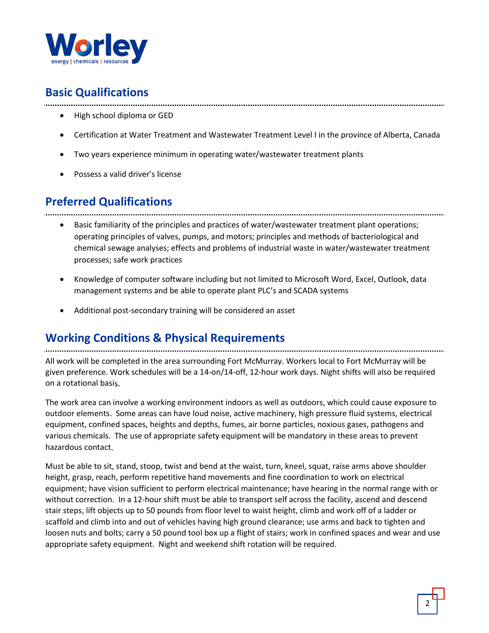

## Basic Qualifications

- High school diploma or GED
- Certification at Water Treatment and Wastewater Treatment Level I in the province of Alberta, Canada
- Two years experience minimum in operating water/wastewater treatment plants
- Possess a valid driver's license

## Preferred Qualifications

• Basic familiarity of the principles and practices of water/wastewater treatment plant operations; operating principles of valves, pumps, and motors; principles and methods of bacteriological and chemical sewage analyses; effects and problems of industrial waste in water/wastewater treatment processes; safe work practices

- Knowledge of computer software including but not limited to Microsoft Word, Excel, Outlook, data management systems and be able to operate plant PLC's and SCADA systems
- Additional post-secondary training will be considered an asset

## Working Conditions & Physical Requirements

All work will be completed in the area surrounding Fort McMurray. Workers local to Fort McMurray will be given preference. Work schedules will be a 14-on/14-off, 12-hour work days. Night shifts will also be required on a rotational basis.

The work area can involve a working environment indoors as well as outdoors, which could cause exposure to outdoor elements. Some areas can have loud noise, active machinery, high pressure fluid systems, electrical equipment, confined spaces, heights and depths, fumes, air borne particles, noxious gases, pathogens and various chemicals. The use of appropriate safety equipment will be mandatory in these areas to prevent hazardous contact.

Must be able to sit, stand, stoop, twist and bend at the waist, turn, kneel, squat, raise arms above shoulder height, grasp, reach, perform repetitive hand movements and fine coordination to work on electrical equipment; have vision sufficient to perform electrical maintenance; have hearing in the normal range with or without correction. In a 12-hour shift must be able to transport self across the facility, ascend and descend stair steps, lift objects up to 50 pounds from floor level to waist height, climb and work off of a ladder or scaffold and climb into and out of vehicles having high ground clearance; use arms and back to tighten and loosen nuts and bolts; carry a 50 pound tool box up a flight of stairs; work in confined spaces and wear and use appropriate safety equipment. Night and weekend shift rotation will be required.

2